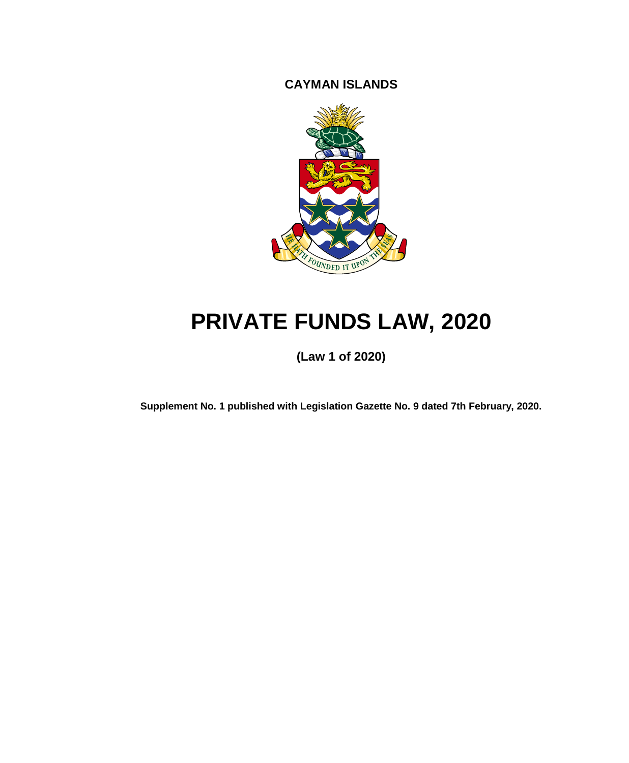**CAYMAN ISLANDS**



# **PRIVATE FUNDS LAW, 2020**

**(Law 1 of 2020)**

**Supplement No. 1 published with Legislation Gazette No. 9 dated 7th February, 2020.**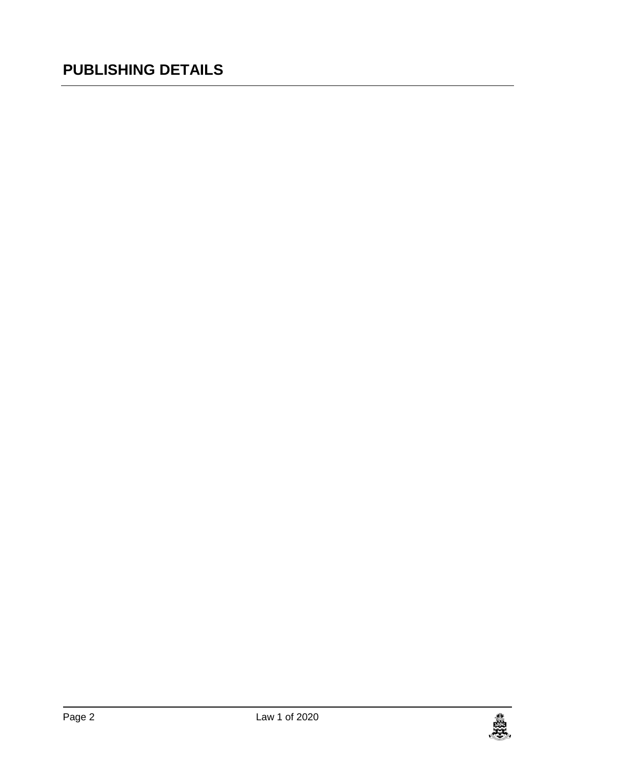## **PUBLISHING DETAILS**

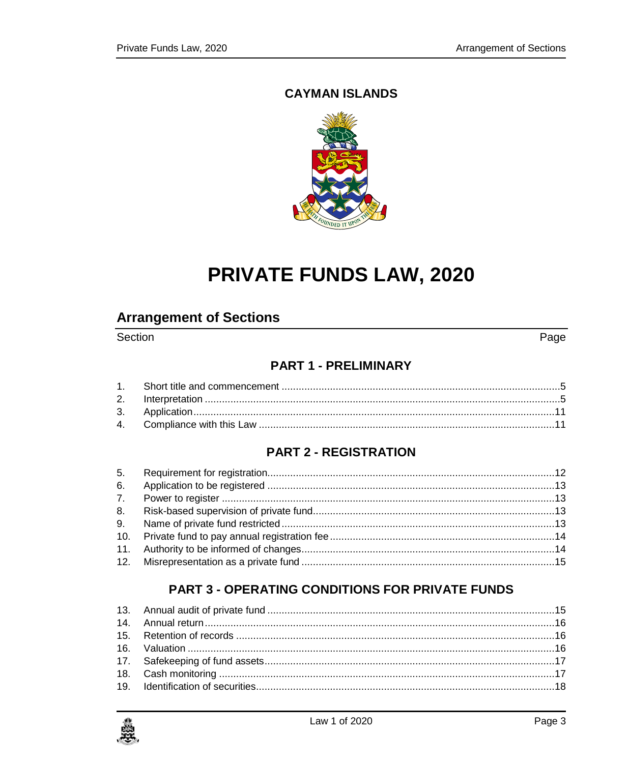#### **CAYMAN ISLANDS**



## PRIVATE FUNDS LAW, 2020

### **Arrangement of Sections**

#### Section

Page

#### **PART 1 - PRELIMINARY**

#### **PART 2 - REGISTRATION**

### **PART 3 - OPERATING CONDITIONS FOR PRIVATE FUNDS**

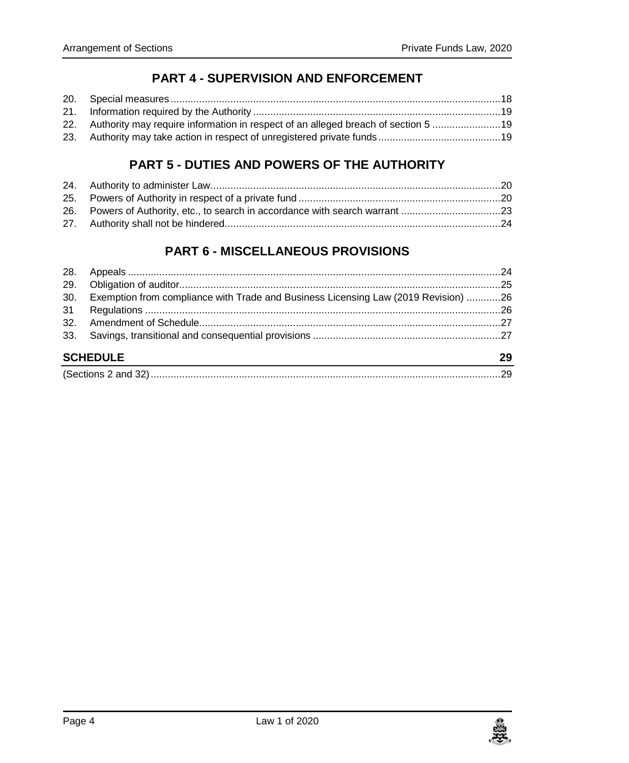#### **PART 4 - [SUPERVISION AND ENFORCEMENT](#page-17-1)**

| 22. Authority may require information in respect of an alleged breach of section 5 19 |  |
|---------------------------------------------------------------------------------------|--|
|                                                                                       |  |

#### **PART 5 - [DUTIES AND POWERS OF THE AUTHORITY](#page-19-0)**

| 26. Powers of Authority, etc., to search in accordance with search warrant 23 |  |
|-------------------------------------------------------------------------------|--|
|                                                                               |  |

#### **PART 6 - [MISCELLANEOUS PROVISIONS](#page-23-1)**

| 30. | Exemption from compliance with Trade and Business Licensing Law (2019 Revision) 26 |    |  |
|-----|------------------------------------------------------------------------------------|----|--|
|     |                                                                                    |    |  |
|     |                                                                                    |    |  |
|     |                                                                                    |    |  |
|     | <b>SCHEDULE</b>                                                                    | 29 |  |
|     |                                                                                    |    |  |

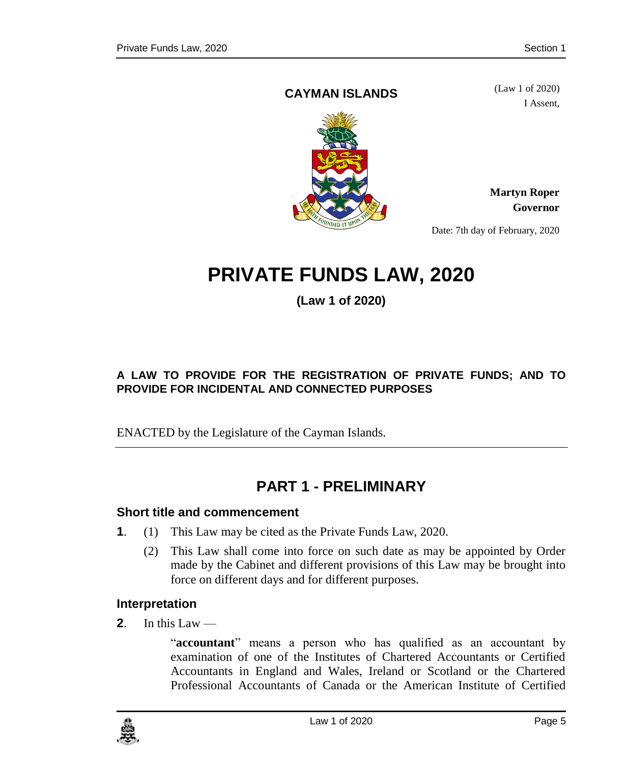#### <span id="page-4-1"></span>**CAYMAN ISLANDS**

(Law 1 of 2020) I Assent,



**Martyn Roper Governor**

Date: 7th day of February, 2020

## **PRIVATE FUNDS LAW, 2020**

**(Law 1 of 2020)**

#### **A LAW TO PROVIDE FOR THE REGISTRATION OF PRIVATE FUNDS; AND TO PROVIDE FOR INCIDENTAL AND CONNECTED PURPOSES**

ENACTED by the Legislature of the Cayman Islands.

## **PART 1 - PRELIMINARY**

#### <span id="page-4-0"></span>**1. Short title and commencement**

- **1**. (1) This Law may be cited as the Private Funds Law, 2020.
	- (2) This Law shall come into force on such date as may be appointed by Order made by the Cabinet and different provisions of this Law may be brought into force on different days and for different purposes.

#### <span id="page-4-2"></span>**2. Interpretation**

**2**. In this Law —

"**accountant**" means a person who has qualified as an accountant by examination of one of the Institutes of Chartered Accountants or Certified Accountants in England and Wales, Ireland or Scotland or the Chartered Professional Accountants of Canada or the American Institute of Certified

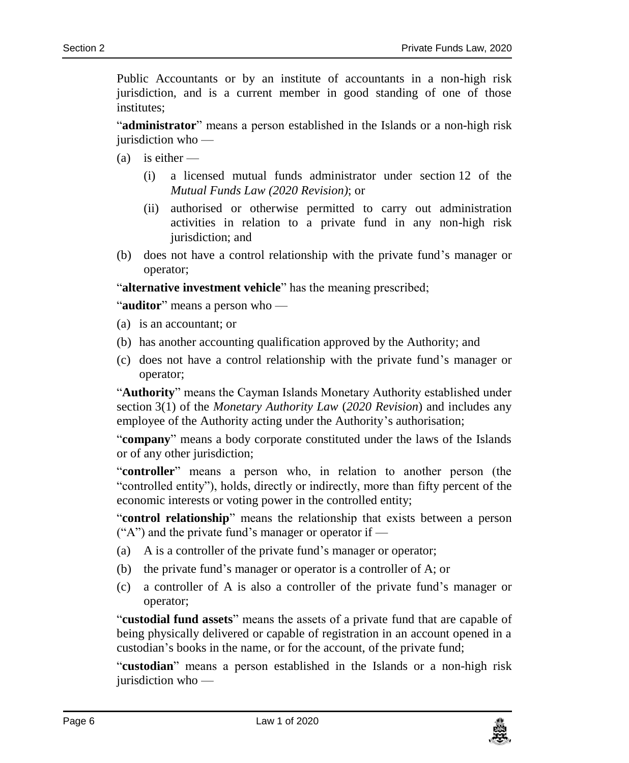Public Accountants or by an institute of accountants in a non-high risk jurisdiction, and is a current member in good standing of one of those institutes;

"**administrator**" means a person established in the Islands or a non-high risk jurisdiction who —

 $(a)$  is either —

- (i) a licensed mutual funds administrator under section 12 of the *Mutual Funds Law (2020 Revision)*; or
- (ii) authorised or otherwise permitted to carry out administration activities in relation to a private fund in any non-high risk jurisdiction; and
- (b) does not have a control relationship with the private fund's manager or operator;

"**alternative investment vehicle**" has the meaning prescribed;

"**auditor**" means a person who —

- (a) is an accountant; or
- (b) has another accounting qualification approved by the Authority; and
- (c) does not have a control relationship with the private fund's manager or operator;

"**Authority**" means the Cayman Islands Monetary Authority established under section 3(1) of the *Monetary Authority Law* (*2020 Revision*) and includes any employee of the Authority acting under the Authority's authorisation;

"**company**" means a body corporate constituted under the laws of the Islands or of any other jurisdiction;

"**controller**" means a person who, in relation to another person (the "controlled entity"), holds, directly or indirectly, more than fifty percent of the economic interests or voting power in the controlled entity;

"**control relationship**" means the relationship that exists between a person  $(4)$  and the private fund's manager or operator if  $-$ 

- (a) A is a controller of the private fund's manager or operator;
- (b) the private fund's manager or operator is a controller of A; or
- (c) a controller of A is also a controller of the private fund's manager or operator;

"**custodial fund assets**" means the assets of a private fund that are capable of being physically delivered or capable of registration in an account opened in a custodian's books in the name, or for the account, of the private fund;

"**custodian**" means a person established in the Islands or a non-high risk jurisdiction who —

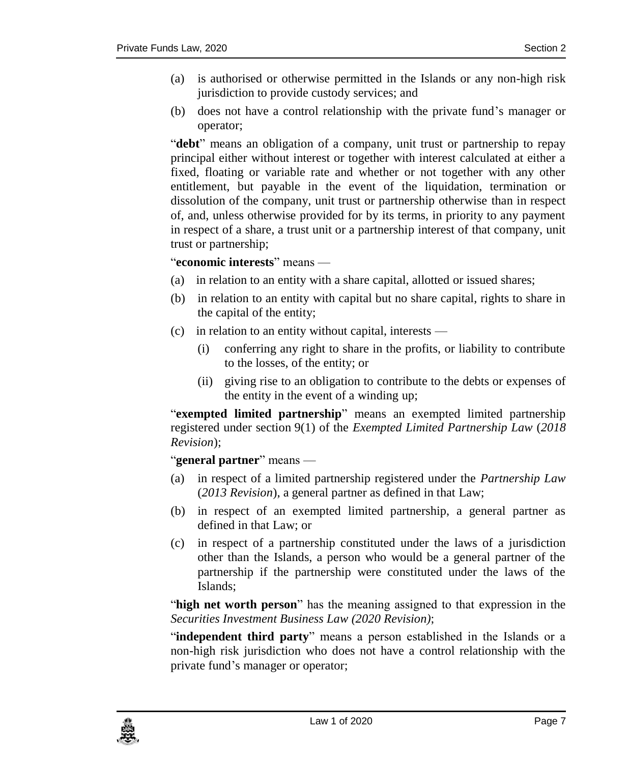- (a) is authorised or otherwise permitted in the Islands or any non-high risk jurisdiction to provide custody services; and
- (b) does not have a control relationship with the private fund's manager or operator;

"**debt**" means an obligation of a company, unit trust or partnership to repay principal either without interest or together with interest calculated at either a fixed, floating or variable rate and whether or not together with any other entitlement, but payable in the event of the liquidation, termination or dissolution of the company, unit trust or partnership otherwise than in respect of, and, unless otherwise provided for by its terms, in priority to any payment in respect of a share, a trust unit or a partnership interest of that company, unit trust or partnership;

#### "**economic interests**" means —

- (a) in relation to an entity with a share capital, allotted or issued shares;
- (b) in relation to an entity with capital but no share capital, rights to share in the capital of the entity;
- (c) in relation to an entity without capital, interests
	- (i) conferring any right to share in the profits, or liability to contribute to the losses, of the entity; or
	- (ii) giving rise to an obligation to contribute to the debts or expenses of the entity in the event of a winding up;

"**exempted limited partnership**" means an exempted limited partnership registered under section 9(1) of the *Exempted Limited Partnership Law* (*2018 Revision*);

"**general partner**" means —

- (a) in respect of a limited partnership registered under the *Partnership Law* (*2013 Revision*), a general partner as defined in that Law;
- (b) in respect of an exempted limited partnership, a general partner as defined in that Law; or
- (c) in respect of a partnership constituted under the laws of a jurisdiction other than the Islands, a person who would be a general partner of the partnership if the partnership were constituted under the laws of the Islands;

"**high net worth person**" has the meaning assigned to that expression in the *Securities Investment Business Law (2020 Revision)*;

"**independent third party**" means a person established in the Islands or a non-high risk jurisdiction who does not have a control relationship with the private fund's manager or operator;

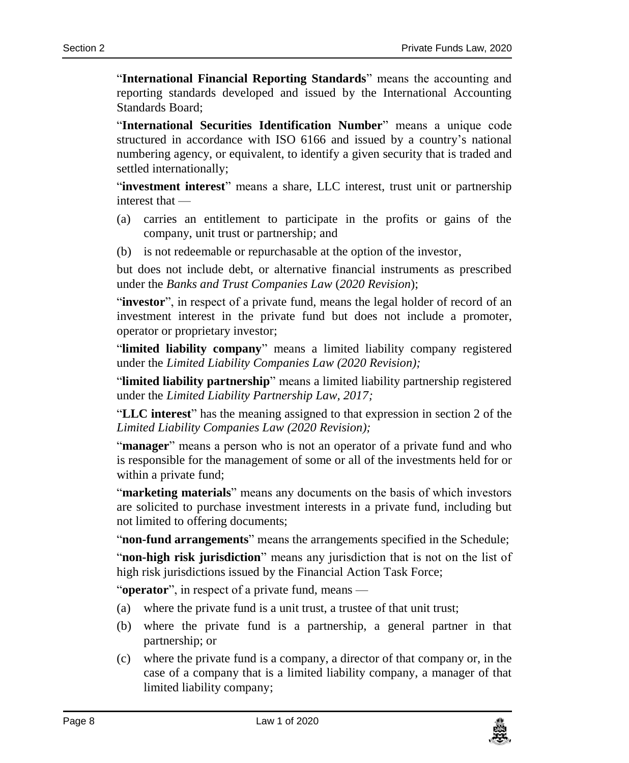"**International Financial Reporting Standards**" means the accounting and reporting standards developed and issued by the International Accounting Standards Board;

"**International Securities Identification Number**" means a unique code structured in accordance with ISO 6166 and issued by a country's national numbering agency, or equivalent, to identify a given security that is traded and settled internationally;

"**investment interest**" means a share, LLC interest, trust unit or partnership interest that —

- (a) carries an entitlement to participate in the profits or gains of the company, unit trust or partnership; and
- (b) is not redeemable or repurchasable at the option of the investor,

but does not include debt, or alternative financial instruments as prescribed under the *Banks and Trust Companies Law* (*2020 Revision*);

"**investor**", in respect of a private fund, means the legal holder of record of an investment interest in the private fund but does not include a promoter, operator or proprietary investor;

"**limited liability company**" means a limited liability company registered under the *Limited Liability Companies Law (2020 Revision);*

"**limited liability partnership**" means a limited liability partnership registered under the *Limited Liability Partnership Law, 2017;*

"**LLC interest**" has the meaning assigned to that expression in section 2 of the *Limited Liability Companies Law (2020 Revision);*

"**manager**" means a person who is not an operator of a private fund and who is responsible for the management of some or all of the investments held for or within a private fund;

"**marketing materials**" means any documents on the basis of which investors are solicited to purchase investment interests in a private fund, including but not limited to offering documents;

"**non-fund arrangements**" means the arrangements specified in the Schedule;

"**non-high risk jurisdiction**" means any jurisdiction that is not on the list of high risk jurisdictions issued by the Financial Action Task Force;

"**operator**", in respect of a private fund, means —

- (a) where the private fund is a unit trust, a trustee of that unit trust;
- (b) where the private fund is a partnership, a general partner in that partnership; or
- (c) where the private fund is a company, a director of that company or, in the case of a company that is a limited liability company, a manager of that limited liability company;

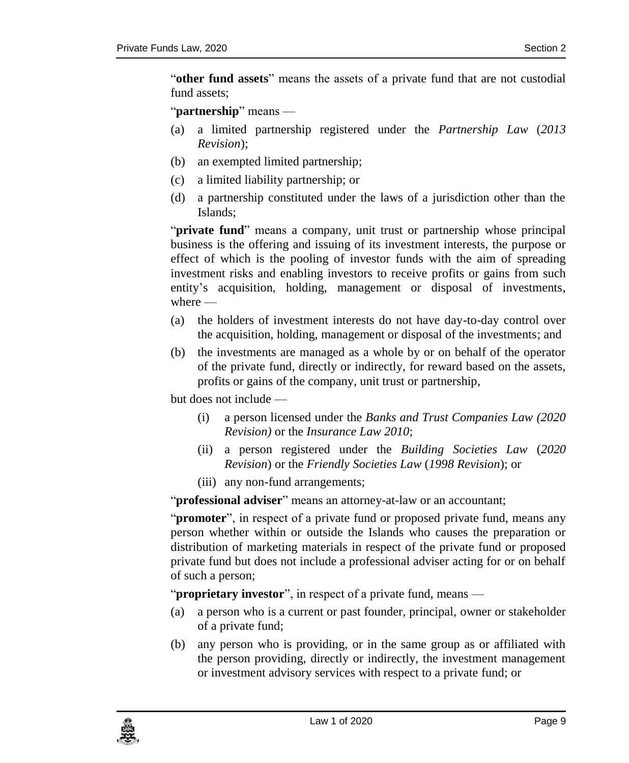"**other fund assets**" means the assets of a private fund that are not custodial fund assets;

"**partnership**" means —

- (a) a limited partnership registered under the *Partnership Law* (*2013 Revision*);
- (b) an exempted limited partnership;
- (c) a limited liability partnership; or
- (d) a partnership constituted under the laws of a jurisdiction other than the Islands;

"**private fund**" means a company, unit trust or partnership whose principal business is the offering and issuing of its investment interests, the purpose or effect of which is the pooling of investor funds with the aim of spreading investment risks and enabling investors to receive profits or gains from such entity's acquisition, holding, management or disposal of investments, where —

- (a) the holders of investment interests do not have day-to-day control over the acquisition, holding, management or disposal of the investments; and
- (b) the investments are managed as a whole by or on behalf of the operator of the private fund, directly or indirectly, for reward based on the assets, profits or gains of the company, unit trust or partnership,

but does not include —

- (i) a person licensed under the *Banks and Trust Companies Law (2020 Revision)* or the *Insurance Law 2010*;
- (ii) a person registered under the *Building Societies Law* (*2020 Revision*) or the *Friendly Societies Law* (*1998 Revision*); or
- (iii) any non-fund arrangements;

"**professional adviser**" means an attorney-at-law or an accountant;

"**promoter**", in respect of a private fund or proposed private fund, means any person whether within or outside the Islands who causes the preparation or distribution of marketing materials in respect of the private fund or proposed private fund but does not include a professional adviser acting for or on behalf of such a person;

"**proprietary investor**", in respect of a private fund, means —

- (a) a person who is a current or past founder, principal, owner or stakeholder of a private fund;
- (b) any person who is providing, or in the same group as or affiliated with the person providing, directly or indirectly, the investment management or investment advisory services with respect to a private fund; or

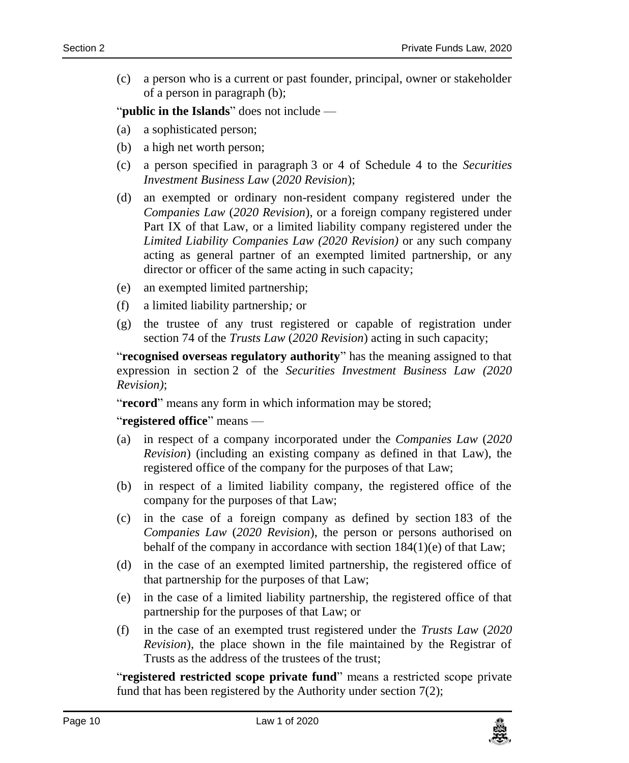(c) a person who is a current or past founder, principal, owner or stakeholder of a person in paragraph (b);

"**public in the Islands**" does not include —

- (a) a sophisticated person;
- (b) a high net worth person;
- (c) a person specified in paragraph 3 or 4 of Schedule 4 to the *Securities Investment Business Law* (*2020 Revision*);
- (d) an exempted or ordinary non-resident company registered under the *Companies Law* (*2020 Revision*), or a foreign company registered under Part IX of that Law, or a limited liability company registered under the *Limited Liability Companies Law (2020 Revision)* or any such company acting as general partner of an exempted limited partnership, or any director or officer of the same acting in such capacity;
- (e) an exempted limited partnership;
- (f) a limited liability partnership*;* or
- (g) the trustee of any trust registered or capable of registration under section 74 of the *Trusts Law* (*2020 Revision*) acting in such capacity;

"**recognised overseas regulatory authority**" has the meaning assigned to that expression in section 2 of the *Securities Investment Business Law (2020 Revision)*;

"**record**" means any form in which information may be stored;

#### "**registered office**" means —

- (a) in respect of a company incorporated under the *Companies Law* (*2020 Revision*) (including an existing company as defined in that Law), the registered office of the company for the purposes of that Law;
- (b) in respect of a limited liability company, the registered office of the company for the purposes of that Law;
- (c) in the case of a foreign company as defined by section 183 of the *Companies Law* (*2020 Revision*), the person or persons authorised on behalf of the company in accordance with section 184(1)(e) of that Law;
- (d) in the case of an exempted limited partnership, the registered office of that partnership for the purposes of that Law;
- (e) in the case of a limited liability partnership, the registered office of that partnership for the purposes of that Law; or
- (f) in the case of an exempted trust registered under the *Trusts Law* (*2020 Revision*), the place shown in the file maintained by the Registrar of Trusts as the address of the trustees of the trust;

"**registered restricted scope private fund**" means a restricted scope private fund that has been registered by the Authority under section 7(2);

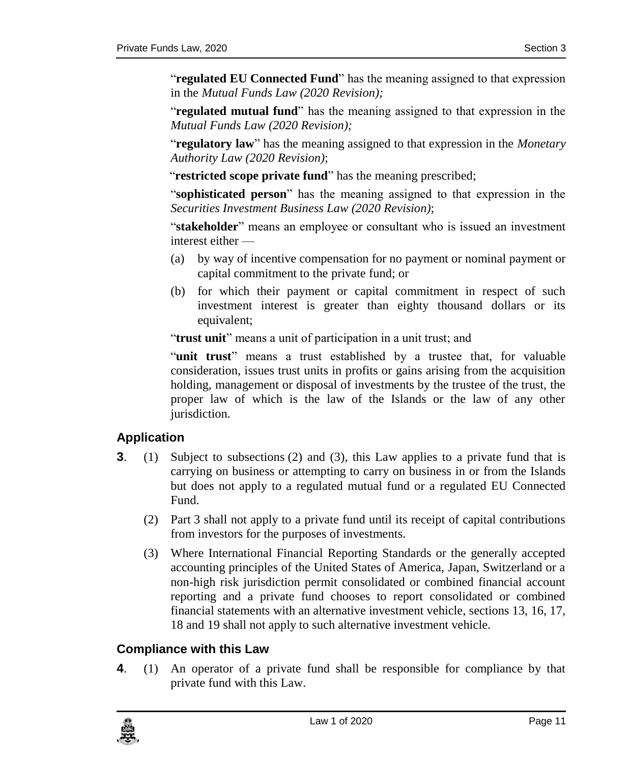"**regulated EU Connected Fund**" has the meaning assigned to that expression in the *Mutual Funds Law (2020 Revision);*

"**regulated mutual fund**" has the meaning assigned to that expression in the *Mutual Funds Law (2020 Revision);*

"**regulatory law**" has the meaning assigned to that expression in the *Monetary Authority Law (2020 Revision)*;

"**restricted scope private fund**" has the meaning prescribed;

"**sophisticated person**" has the meaning assigned to that expression in the *Securities Investment Business Law (2020 Revision)*;

"**stakeholder**" means an employee or consultant who is issued an investment interest either —

- (a) by way of incentive compensation for no payment or nominal payment or capital commitment to the private fund; or
- (b) for which their payment or capital commitment in respect of such investment interest is greater than eighty thousand dollars or its equivalent;

"**trust unit**" means a unit of participation in a unit trust; and

"**unit trust**" means a trust established by a trustee that, for valuable consideration, issues trust units in profits or gains arising from the acquisition holding, management or disposal of investments by the trustee of the trust, the proper law of which is the law of the Islands or the law of any other jurisdiction.

#### <span id="page-10-0"></span>**3. Application**

- **3**. (1) Subject to subsections (2) and (3), this Law applies to a private fund that is carrying on business or attempting to carry on business in or from the Islands but does not apply to a regulated mutual fund or a regulated EU Connected Fund.
	- (2) Part 3 shall not apply to a private fund until its receipt of capital contributions from investors for the purposes of investments.
	- (3) Where International Financial Reporting Standards or the generally accepted accounting principles of the United States of America, Japan, Switzerland or a non-high risk jurisdiction permit consolidated or combined financial account reporting and a private fund chooses to report consolidated or combined financial statements with an alternative investment vehicle, sections 13, 16, 17, 18 and 19 shall not apply to such alternative investment vehicle.

#### <span id="page-10-1"></span>**4. Compliance with this Law**

**4**. (1) An operator of a private fund shall be responsible for compliance by that private fund with this Law.

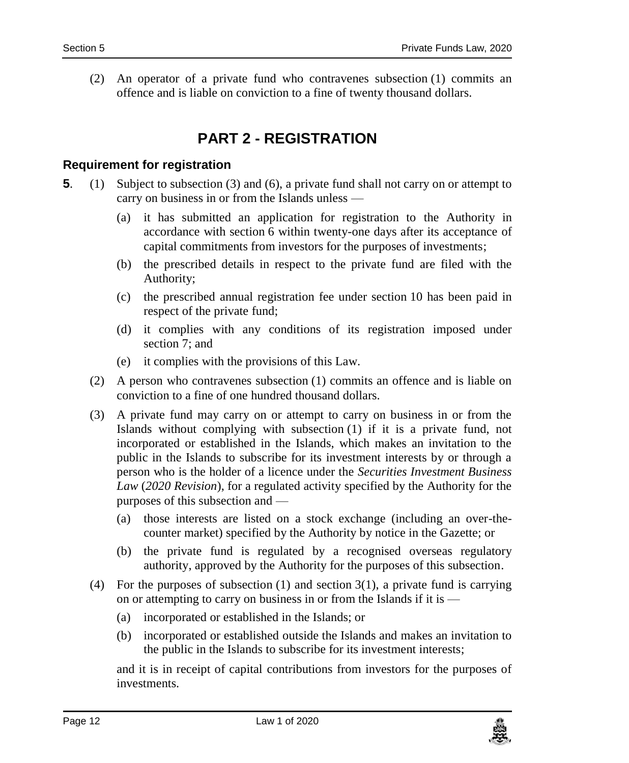<span id="page-11-0"></span>(2) An operator of a private fund who contravenes subsection (1) commits an offence and is liable on conviction to a fine of twenty thousand dollars.

## **PART 2 - REGISTRATION**

#### <span id="page-11-1"></span>**5. Requirement for registration**

- **5**. (1) Subject to subsection (3) and (6), a private fund shall not carry on or attempt to carry on business in or from the Islands unless —
	- (a) it has submitted an application for registration to the Authority in accordance with section 6 within twenty-one days after its acceptance of capital commitments from investors for the purposes of investments;
	- (b) the prescribed details in respect to the private fund are filed with the Authority;
	- (c) the prescribed annual registration fee under section 10 has been paid in respect of the private fund;
	- (d) it complies with any conditions of its registration imposed under section 7; and
	- (e) it complies with the provisions of this Law.
	- (2) A person who contravenes subsection (1) commits an offence and is liable on conviction to a fine of one hundred thousand dollars.
	- (3) A private fund may carry on or attempt to carry on business in or from the Islands without complying with subsection (1) if it is a private fund, not incorporated or established in the Islands, which makes an invitation to the public in the Islands to subscribe for its investment interests by or through a person who is the holder of a licence under the *Securities Investment Business Law* (*2020 Revision*), for a regulated activity specified by the Authority for the purposes of this subsection and —
		- (a) those interests are listed on a stock exchange (including an over-thecounter market) specified by the Authority by notice in the Gazette; or
		- (b) the private fund is regulated by a recognised overseas regulatory authority, approved by the Authority for the purposes of this subsection.
	- (4) For the purposes of subsection (1) and section 3(1), a private fund is carrying on or attempting to carry on business in or from the Islands if it is —
		- (a) incorporated or established in the Islands; or
		- (b) incorporated or established outside the Islands and makes an invitation to the public in the Islands to subscribe for its investment interests;

and it is in receipt of capital contributions from investors for the purposes of investments.

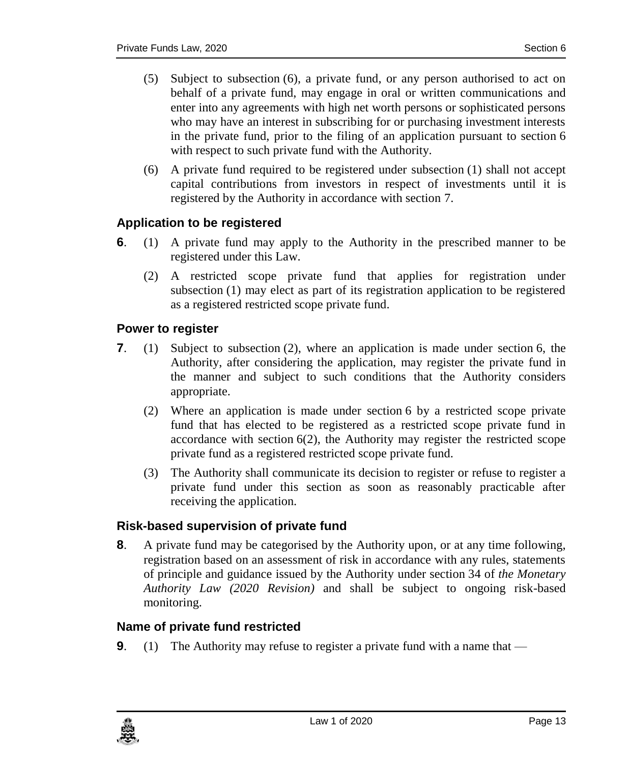- (5) Subject to subsection (6), a private fund, or any person authorised to act on behalf of a private fund, may engage in oral or written communications and enter into any agreements with high net worth persons or sophisticated persons who may have an interest in subscribing for or purchasing investment interests in the private fund, prior to the filing of an application pursuant to section 6 with respect to such private fund with the Authority.
- (6) A private fund required to be registered under subsection (1) shall not accept capital contributions from investors in respect of investments until it is registered by the Authority in accordance with section 7.

#### <span id="page-12-0"></span>**6. Application to be registered**

- **6**. (1) A private fund may apply to the Authority in the prescribed manner to be registered under this Law.
	- (2) A restricted scope private fund that applies for registration under subsection (1) may elect as part of its registration application to be registered as a registered restricted scope private fund.

#### <span id="page-12-1"></span>**7. Power to register**

- **7**. (1) Subject to subsection (2), where an application is made under section 6, the Authority, after considering the application, may register the private fund in the manner and subject to such conditions that the Authority considers appropriate.
	- (2) Where an application is made under section 6 by a restricted scope private fund that has elected to be registered as a restricted scope private fund in accordance with section 6(2), the Authority may register the restricted scope private fund as a registered restricted scope private fund.
	- (3) The Authority shall communicate its decision to register or refuse to register a private fund under this section as soon as reasonably practicable after receiving the application.

#### <span id="page-12-2"></span>**8. Risk-based supervision of private fund**

**8**. A private fund may be categorised by the Authority upon, or at any time following, registration based on an assessment of risk in accordance with any rules, statements of principle and guidance issued by the Authority under section 34 of *the Monetary Authority Law (2020 Revision)* and shall be subject to ongoing risk-based monitoring.

#### <span id="page-12-3"></span>**9. Name of private fund restricted**

**9.** (1) The Authority may refuse to register a private fund with a name that —

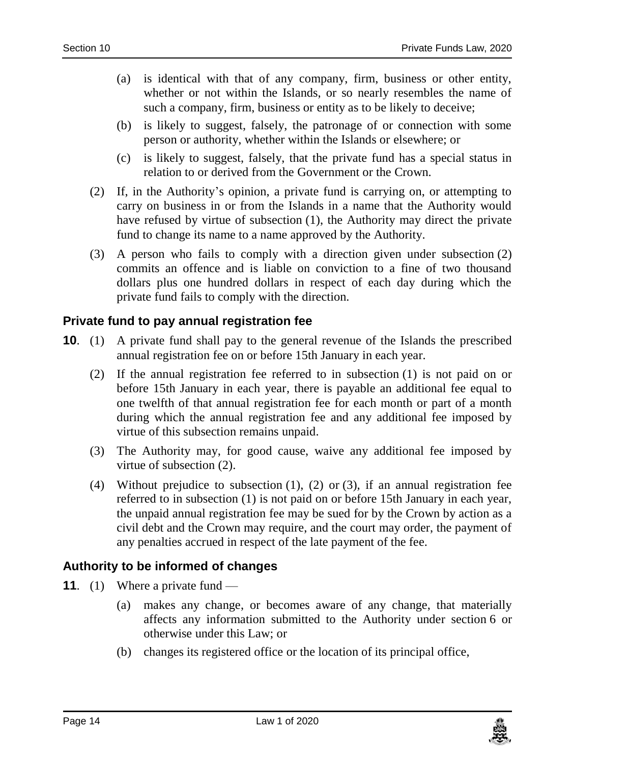- (a) is identical with that of any company, firm, business or other entity, whether or not within the Islands, or so nearly resembles the name of such a company, firm, business or entity as to be likely to deceive;
- (b) is likely to suggest, falsely, the patronage of or connection with some person or authority, whether within the Islands or elsewhere; or
- (c) is likely to suggest, falsely, that the private fund has a special status in relation to or derived from the Government or the Crown.
- (2) If, in the Authority's opinion, a private fund is carrying on, or attempting to carry on business in or from the Islands in a name that the Authority would have refused by virtue of subsection (1), the Authority may direct the private fund to change its name to a name approved by the Authority.
- (3) A person who fails to comply with a direction given under subsection (2) commits an offence and is liable on conviction to a fine of two thousand dollars plus one hundred dollars in respect of each day during which the private fund fails to comply with the direction.

#### <span id="page-13-0"></span>**10. Private fund to pay annual registration fee**

- **10.** (1) A private fund shall pay to the general revenue of the Islands the prescribed annual registration fee on or before 15th January in each year.
	- (2) If the annual registration fee referred to in subsection (1) is not paid on or before 15th January in each year, there is payable an additional fee equal to one twelfth of that annual registration fee for each month or part of a month during which the annual registration fee and any additional fee imposed by virtue of this subsection remains unpaid.
	- (3) The Authority may, for good cause, waive any additional fee imposed by virtue of subsection (2).
	- (4) Without prejudice to subsection (1), (2) or (3), if an annual registration fee referred to in subsection (1) is not paid on or before 15th January in each year, the unpaid annual registration fee may be sued for by the Crown by action as a civil debt and the Crown may require, and the court may order, the payment of any penalties accrued in respect of the late payment of the fee.

#### <span id="page-13-1"></span>**11. Authority to be informed of changes**

- **11.** (1) Where a private fund
	- (a) makes any change, or becomes aware of any change, that materially affects any information submitted to the Authority under section 6 or otherwise under this Law; or
	- (b) changes its registered office or the location of its principal office,

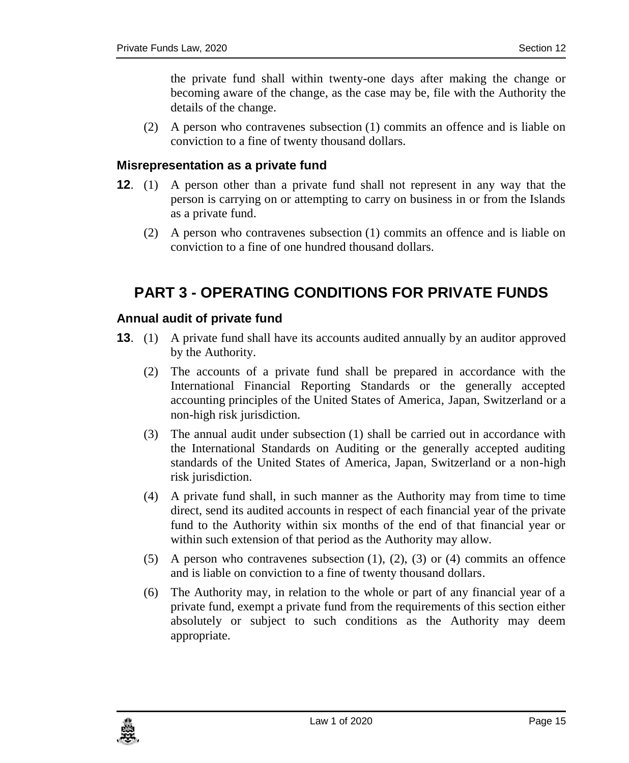the private fund shall within twenty-one days after making the change or becoming aware of the change, as the case may be, file with the Authority the details of the change.

(2) A person who contravenes subsection (1) commits an offence and is liable on conviction to a fine of twenty thousand dollars.

#### <span id="page-14-0"></span>**12. Misrepresentation as a private fund**

- **12**. (1) A person other than a private fund shall not represent in any way that the person is carrying on or attempting to carry on business in or from the Islands as a private fund.
	- (2) A person who contravenes subsection (1) commits an offence and is liable on conviction to a fine of one hundred thousand dollars.

## <span id="page-14-1"></span>**PART 3 - OPERATING CONDITIONS FOR PRIVATE FUNDS**

#### <span id="page-14-2"></span>**13. Annual audit of private fund**

- **13**. (1) A private fund shall have its accounts audited annually by an auditor approved by the Authority.
	- (2) The accounts of a private fund shall be prepared in accordance with the International Financial Reporting Standards or the generally accepted accounting principles of the United States of America, Japan, Switzerland or a non-high risk jurisdiction.
	- (3) The annual audit under subsection (1) shall be carried out in accordance with the International Standards on Auditing or the generally accepted auditing standards of the United States of America, Japan, Switzerland or a non-high risk jurisdiction.
	- (4) A private fund shall, in such manner as the Authority may from time to time direct, send its audited accounts in respect of each financial year of the private fund to the Authority within six months of the end of that financial year or within such extension of that period as the Authority may allow.
	- $(5)$  A person who contravenes subsection  $(1)$ ,  $(2)$ ,  $(3)$  or  $(4)$  commits an offence and is liable on conviction to a fine of twenty thousand dollars.
	- (6) The Authority may, in relation to the whole or part of any financial year of a private fund, exempt a private fund from the requirements of this section either absolutely or subject to such conditions as the Authority may deem appropriate.

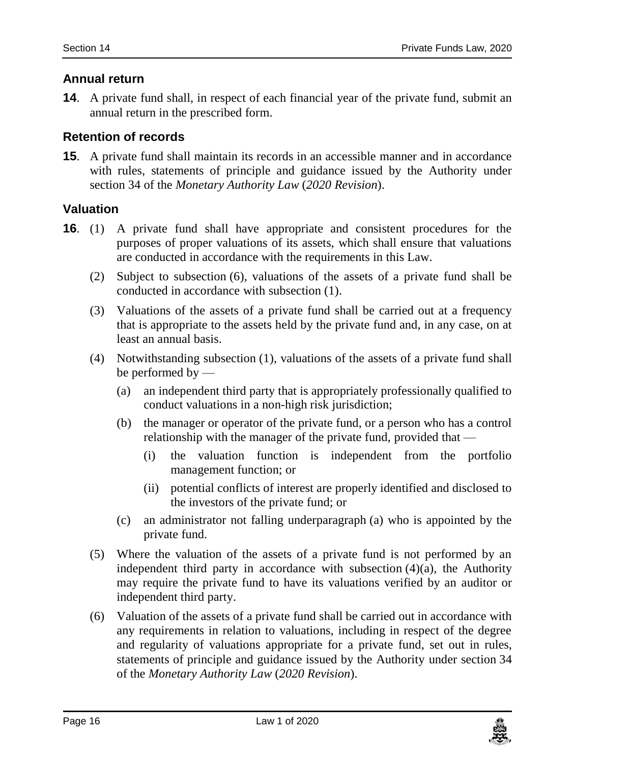#### <span id="page-15-0"></span>**14. Annual return**

**14**. A private fund shall, in respect of each financial year of the private fund, submit an annual return in the prescribed form.

#### <span id="page-15-1"></span>**15. Retention of records**

**15**. A private fund shall maintain its records in an accessible manner and in accordance with rules, statements of principle and guidance issued by the Authority under section 34 of the *Monetary Authority Law* (*2020 Revision*).

#### <span id="page-15-2"></span>**16. Valuation**

- **16**. (1) A private fund shall have appropriate and consistent procedures for the purposes of proper valuations of its assets, which shall ensure that valuations are conducted in accordance with the requirements in this Law.
	- (2) Subject to subsection (6), valuations of the assets of a private fund shall be conducted in accordance with subsection (1).
	- (3) Valuations of the assets of a private fund shall be carried out at a frequency that is appropriate to the assets held by the private fund and, in any case, on at least an annual basis.
	- (4) Notwithstanding subsection (1), valuations of the assets of a private fund shall be performed by —
		- (a) an independent third party that is appropriately professionally qualified to conduct valuations in a non-high risk jurisdiction;
		- (b) the manager or operator of the private fund, or a person who has a control relationship with the manager of the private fund, provided that —
			- (i) the valuation function is independent from the portfolio management function; or
			- (ii) potential conflicts of interest are properly identified and disclosed to the investors of the private fund; or
		- (c) an administrator not falling underparagraph (a) who is appointed by the private fund.
	- (5) Where the valuation of the assets of a private fund is not performed by an independent third party in accordance with subsection  $(4)(a)$ , the Authority may require the private fund to have its valuations verified by an auditor or independent third party.
	- (6) Valuation of the assets of a private fund shall be carried out in accordance with any requirements in relation to valuations, including in respect of the degree and regularity of valuations appropriate for a private fund, set out in rules, statements of principle and guidance issued by the Authority under section 34 of the *Monetary Authority Law* (*2020 Revision*).

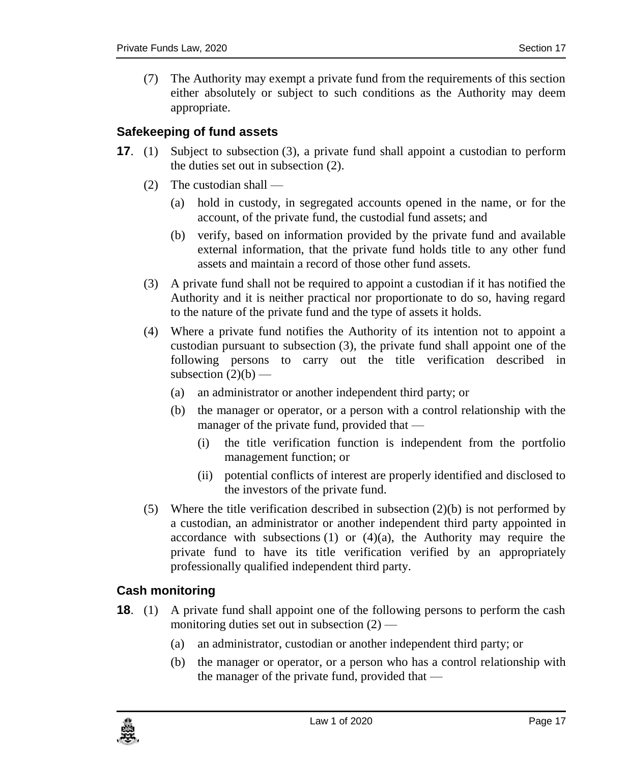(7) The Authority may exempt a private fund from the requirements of this section either absolutely or subject to such conditions as the Authority may deem appropriate.

#### <span id="page-16-0"></span>**17. Safekeeping of fund assets**

- **17**. (1) Subject to subsection (3), a private fund shall appoint a custodian to perform the duties set out in subsection (2).
	- (2) The custodian shall
		- (a) hold in custody, in segregated accounts opened in the name, or for the account, of the private fund, the custodial fund assets; and
		- (b) verify, based on information provided by the private fund and available external information, that the private fund holds title to any other fund assets and maintain a record of those other fund assets.
	- (3) A private fund shall not be required to appoint a custodian if it has notified the Authority and it is neither practical nor proportionate to do so, having regard to the nature of the private fund and the type of assets it holds.
	- (4) Where a private fund notifies the Authority of its intention not to appoint a custodian pursuant to subsection (3), the private fund shall appoint one of the following persons to carry out the title verification described in subsection  $(2)(b)$  —
		- (a) an administrator or another independent third party; or
		- (b) the manager or operator, or a person with a control relationship with the manager of the private fund, provided that —
			- (i) the title verification function is independent from the portfolio management function; or
			- (ii) potential conflicts of interest are properly identified and disclosed to the investors of the private fund.
	- (5) Where the title verification described in subsection (2)(b) is not performed by a custodian, an administrator or another independent third party appointed in accordance with subsections  $(1)$  or  $(4)(a)$ , the Authority may require the private fund to have its title verification verified by an appropriately professionally qualified independent third party.

#### <span id="page-16-1"></span>**18. Cash monitoring**

- **18.** (1) A private fund shall appoint one of the following persons to perform the cash monitoring duties set out in subsection  $(2)$  —
	- (a) an administrator, custodian or another independent third party; or
	- (b) the manager or operator, or a person who has a control relationship with the manager of the private fund, provided that —

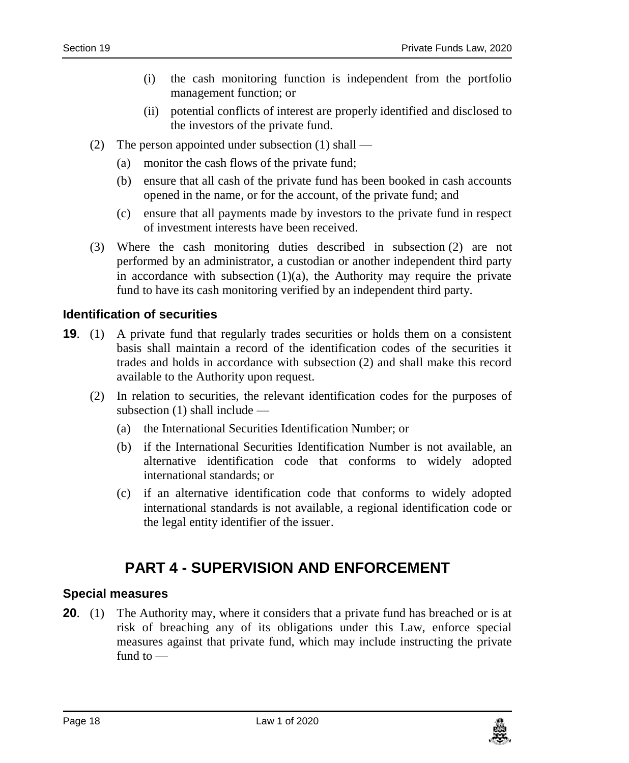- (i) the cash monitoring function is independent from the portfolio management function; or
- (ii) potential conflicts of interest are properly identified and disclosed to the investors of the private fund.
- (2) The person appointed under subsection (1) shall
	- (a) monitor the cash flows of the private fund;
	- (b) ensure that all cash of the private fund has been booked in cash accounts opened in the name, or for the account, of the private fund; and
	- (c) ensure that all payments made by investors to the private fund in respect of investment interests have been received.
- (3) Where the cash monitoring duties described in subsection (2) are not performed by an administrator, a custodian or another independent third party in accordance with subsection  $(1)(a)$ , the Authority may require the private fund to have its cash monitoring verified by an independent third party.

#### <span id="page-17-0"></span>**19. Identification of securities**

- **19.** (1) A private fund that regularly trades securities or holds them on a consistent basis shall maintain a record of the identification codes of the securities it trades and holds in accordance with subsection (2) and shall make this record available to the Authority upon request.
	- (2) In relation to securities, the relevant identification codes for the purposes of subsection (1) shall include —
		- (a) the International Securities Identification Number; or
		- (b) if the International Securities Identification Number is not available, an alternative identification code that conforms to widely adopted international standards; or
		- (c) if an alternative identification code that conforms to widely adopted international standards is not available, a regional identification code or the legal entity identifier of the issuer.

## **PART 4 - SUPERVISION AND ENFORCEMENT**

#### <span id="page-17-2"></span><span id="page-17-1"></span>**20. Special measures**

**20.** (1) The Authority may, where it considers that a private fund has breached or is at risk of breaching any of its obligations under this Law, enforce special measures against that private fund, which may include instructing the private fund to —

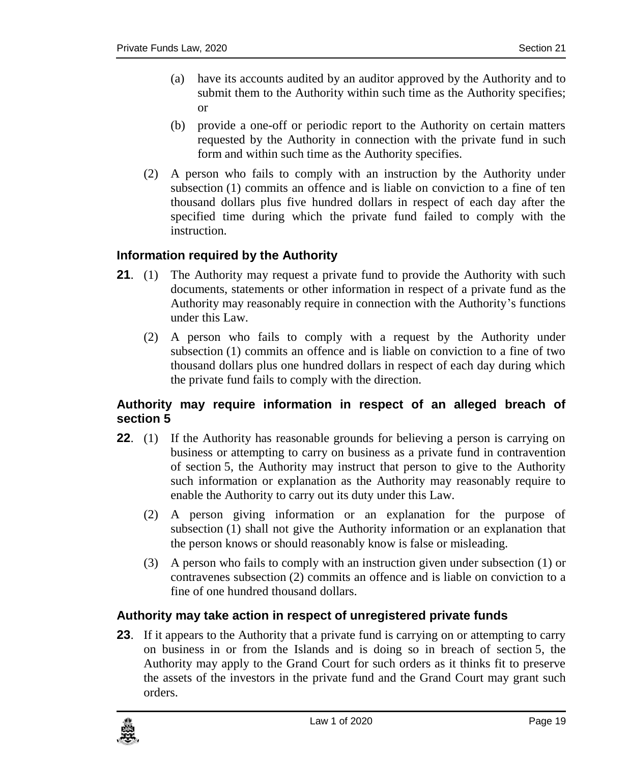- (a) have its accounts audited by an auditor approved by the Authority and to submit them to the Authority within such time as the Authority specifies; or
- (b) provide a one-off or periodic report to the Authority on certain matters requested by the Authority in connection with the private fund in such form and within such time as the Authority specifies.
- (2) A person who fails to comply with an instruction by the Authority under subsection (1) commits an offence and is liable on conviction to a fine of ten thousand dollars plus five hundred dollars in respect of each day after the specified time during which the private fund failed to comply with the instruction.

#### <span id="page-18-0"></span>**21. Information required by the Authority**

- **21.** (1) The Authority may request a private fund to provide the Authority with such documents, statements or other information in respect of a private fund as the Authority may reasonably require in connection with the Authority's functions under this Law.
	- (2) A person who fails to comply with a request by the Authority under subsection (1) commits an offence and is liable on conviction to a fine of two thousand dollars plus one hundred dollars in respect of each day during which the private fund fails to comply with the direction.

#### <span id="page-18-1"></span>**22. Authority may require information in respect of an alleged breach of section 5**

- **22.** (1) If the Authority has reasonable grounds for believing a person is carrying on business or attempting to carry on business as a private fund in contravention of section 5, the Authority may instruct that person to give to the Authority such information or explanation as the Authority may reasonably require to enable the Authority to carry out its duty under this Law.
	- (2) A person giving information or an explanation for the purpose of subsection (1) shall not give the Authority information or an explanation that the person knows or should reasonably know is false or misleading.
	- (3) A person who fails to comply with an instruction given under subsection (1) or contravenes subsection (2) commits an offence and is liable on conviction to a fine of one hundred thousand dollars.

#### <span id="page-18-2"></span>**23. Authority may take action in respect of unregistered private funds**

**23.** If it appears to the Authority that a private fund is carrying on or attempting to carry on business in or from the Islands and is doing so in breach of section 5, the Authority may apply to the Grand Court for such orders as it thinks fit to preserve the assets of the investors in the private fund and the Grand Court may grant such orders.

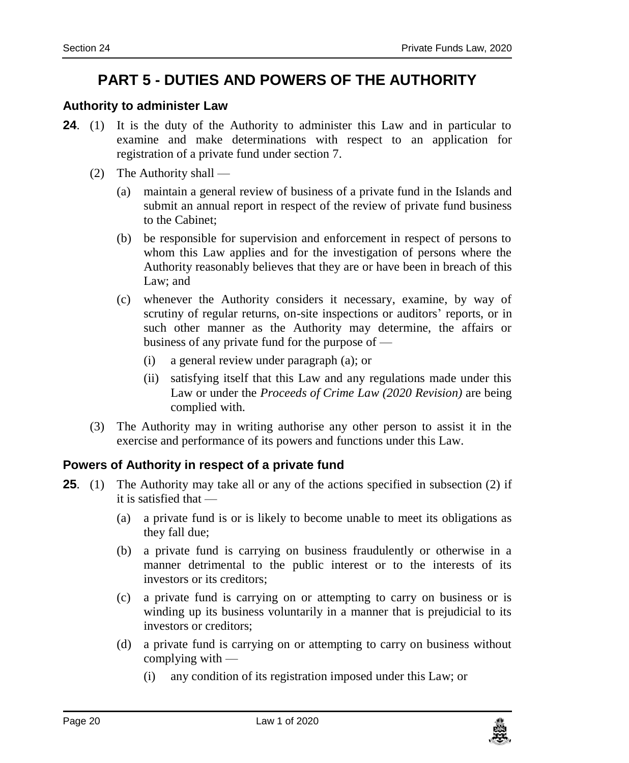## **PART 5 - DUTIES AND POWERS OF THE AUTHORITY**

#### <span id="page-19-1"></span><span id="page-19-0"></span>**24. Authority to administer Law**

- **24.** (1) It is the duty of the Authority to administer this Law and in particular to examine and make determinations with respect to an application for registration of a private fund under section 7.
	- (2) The Authority shall
		- (a) maintain a general review of business of a private fund in the Islands and submit an annual report in respect of the review of private fund business to the Cabinet;
		- (b) be responsible for supervision and enforcement in respect of persons to whom this Law applies and for the investigation of persons where the Authority reasonably believes that they are or have been in breach of this Law; and
		- (c) whenever the Authority considers it necessary, examine, by way of scrutiny of regular returns, on-site inspections or auditors' reports, or in such other manner as the Authority may determine, the affairs or business of any private fund for the purpose of —
			- (i) a general review under paragraph (a); or
			- (ii) satisfying itself that this Law and any regulations made under this Law or under the *Proceeds of Crime Law (2020 Revision)* are being complied with.
	- (3) The Authority may in writing authorise any other person to assist it in the exercise and performance of its powers and functions under this Law.

#### <span id="page-19-2"></span>**25. Powers of Authority in respect of a private fund**

- **25**. (1) The Authority may take all or any of the actions specified in subsection (2) if it is satisfied that —
	- (a) a private fund is or is likely to become unable to meet its obligations as they fall due;
	- (b) a private fund is carrying on business fraudulently or otherwise in a manner detrimental to the public interest or to the interests of its investors or its creditors;
	- (c) a private fund is carrying on or attempting to carry on business or is winding up its business voluntarily in a manner that is prejudicial to its investors or creditors;
	- (d) a private fund is carrying on or attempting to carry on business without complying with —
		- (i) any condition of its registration imposed under this Law; or

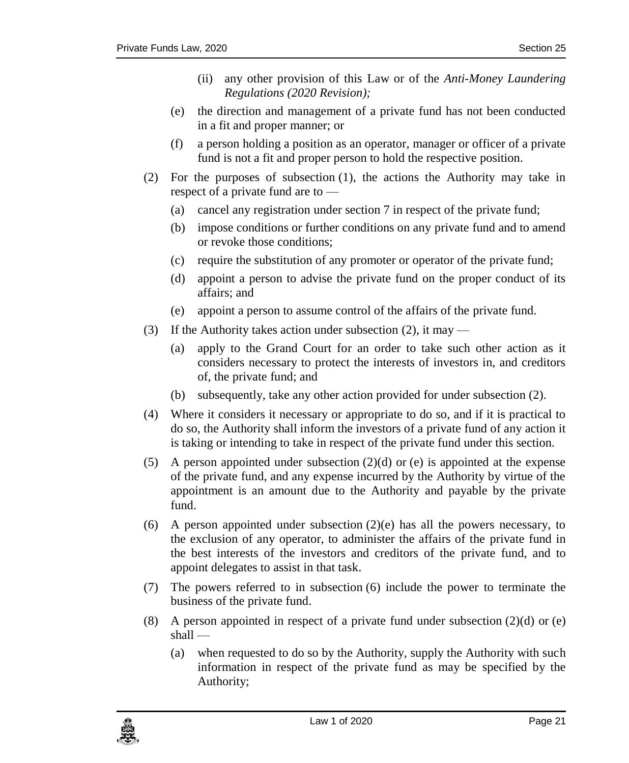- (ii) any other provision of this Law or of the *Anti-Money Laundering Regulations (2020 Revision);*
- (e) the direction and management of a private fund has not been conducted in a fit and proper manner; or
- (f) a person holding a position as an operator, manager or officer of a private fund is not a fit and proper person to hold the respective position.
- (2) For the purposes of subsection (1), the actions the Authority may take in respect of a private fund are to —
	- (a) cancel any registration under section 7 in respect of the private fund;
	- (b) impose conditions or further conditions on any private fund and to amend or revoke those conditions;
	- (c) require the substitution of any promoter or operator of the private fund;
	- (d) appoint a person to advise the private fund on the proper conduct of its affairs; and
	- (e) appoint a person to assume control of the affairs of the private fund.
- (3) If the Authority takes action under subsection (2), it may
	- (a) apply to the Grand Court for an order to take such other action as it considers necessary to protect the interests of investors in, and creditors of, the private fund; and
	- (b) subsequently, take any other action provided for under subsection (2).
- (4) Where it considers it necessary or appropriate to do so, and if it is practical to do so, the Authority shall inform the investors of a private fund of any action it is taking or intending to take in respect of the private fund under this section.
- (5) A person appointed under subsection  $(2)(d)$  or (e) is appointed at the expense of the private fund, and any expense incurred by the Authority by virtue of the appointment is an amount due to the Authority and payable by the private fund.
- (6) A person appointed under subsection  $(2)(e)$  has all the powers necessary, to the exclusion of any operator, to administer the affairs of the private fund in the best interests of the investors and creditors of the private fund, and to appoint delegates to assist in that task.
- (7) The powers referred to in subsection (6) include the power to terminate the business of the private fund.
- (8) A person appointed in respect of a private fund under subsection  $(2)(d)$  or (e) shall —
	- (a) when requested to do so by the Authority, supply the Authority with such information in respect of the private fund as may be specified by the Authority;

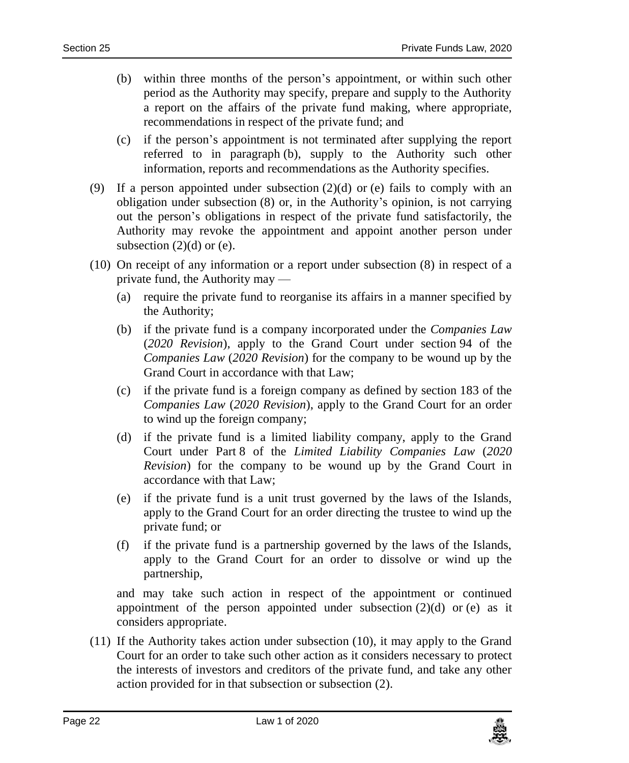- (b) within three months of the person's appointment, or within such other period as the Authority may specify, prepare and supply to the Authority a report on the affairs of the private fund making, where appropriate, recommendations in respect of the private fund; and
- (c) if the person's appointment is not terminated after supplying the report referred to in paragraph (b), supply to the Authority such other information, reports and recommendations as the Authority specifies.
- (9) If a person appointed under subsection  $(2)(d)$  or (e) fails to comply with an obligation under subsection (8) or, in the Authority's opinion, is not carrying out the person's obligations in respect of the private fund satisfactorily, the Authority may revoke the appointment and appoint another person under subsection  $(2)(d)$  or  $(e)$ .
- (10) On receipt of any information or a report under subsection (8) in respect of a private fund, the Authority may —
	- (a) require the private fund to reorganise its affairs in a manner specified by the Authority;
	- (b) if the private fund is a company incorporated under the *Companies Law* (*2020 Revision*), apply to the Grand Court under section 94 of the *Companies Law* (*2020 Revision*) for the company to be wound up by the Grand Court in accordance with that Law;
	- (c) if the private fund is a foreign company as defined by section 183 of the *Companies Law* (*2020 Revision*), apply to the Grand Court for an order to wind up the foreign company;
	- (d) if the private fund is a limited liability company, apply to the Grand Court under Part 8 of the *Limited Liability Companies Law* (*2020 Revision*) for the company to be wound up by the Grand Court in accordance with that Law;
	- (e) if the private fund is a unit trust governed by the laws of the Islands, apply to the Grand Court for an order directing the trustee to wind up the private fund; or
	- (f) if the private fund is a partnership governed by the laws of the Islands, apply to the Grand Court for an order to dissolve or wind up the partnership,

and may take such action in respect of the appointment or continued appointment of the person appointed under subsection  $(2)(d)$  or  $(e)$  as it considers appropriate.

(11) If the Authority takes action under subsection (10), it may apply to the Grand Court for an order to take such other action as it considers necessary to protect the interests of investors and creditors of the private fund, and take any other action provided for in that subsection or subsection (2).

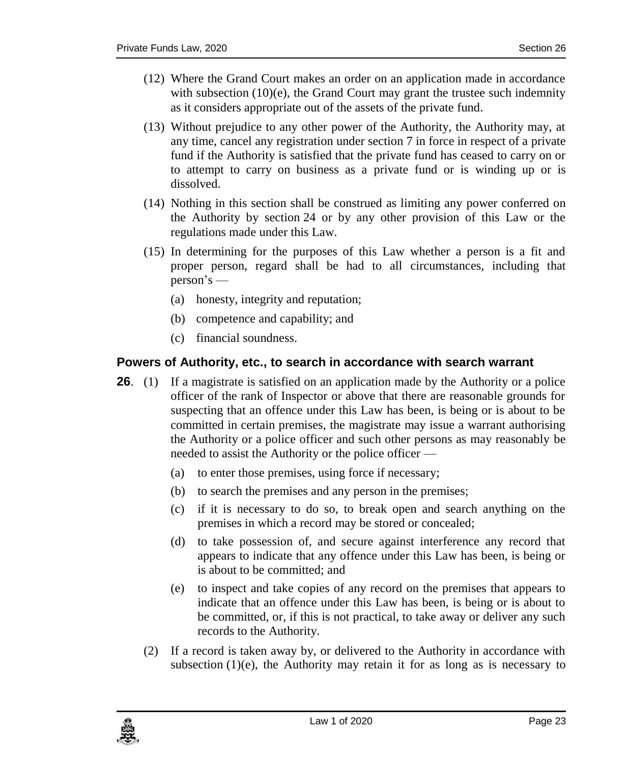- (12) Where the Grand Court makes an order on an application made in accordance with subsection  $(10)(e)$ , the Grand Court may grant the trustee such indemnity as it considers appropriate out of the assets of the private fund.
- (13) Without prejudice to any other power of the Authority, the Authority may, at any time, cancel any registration under section 7 in force in respect of a private fund if the Authority is satisfied that the private fund has ceased to carry on or to attempt to carry on business as a private fund or is winding up or is dissolved.
- (14) Nothing in this section shall be construed as limiting any power conferred on the Authority by section 24 or by any other provision of this Law or the regulations made under this Law.
- (15) In determining for the purposes of this Law whether a person is a fit and proper person, regard shall be had to all circumstances, including that person's —
	- (a) honesty, integrity and reputation;
	- (b) competence and capability; and
	- (c) financial soundness.

#### <span id="page-22-0"></span>**26. Powers of Authority, etc., to search in accordance with search warrant**

- **26.** (1) If a magistrate is satisfied on an application made by the Authority or a police officer of the rank of Inspector or above that there are reasonable grounds for suspecting that an offence under this Law has been, is being or is about to be committed in certain premises, the magistrate may issue a warrant authorising the Authority or a police officer and such other persons as may reasonably be needed to assist the Authority or the police officer —
	- (a) to enter those premises, using force if necessary;
	- (b) to search the premises and any person in the premises;
	- (c) if it is necessary to do so, to break open and search anything on the premises in which a record may be stored or concealed;
	- (d) to take possession of, and secure against interference any record that appears to indicate that any offence under this Law has been, is being or is about to be committed; and
	- (e) to inspect and take copies of any record on the premises that appears to indicate that an offence under this Law has been, is being or is about to be committed, or, if this is not practical, to take away or deliver any such records to the Authority.
	- (2) If a record is taken away by, or delivered to the Authority in accordance with subsection  $(1)(e)$ , the Authority may retain it for as long as is necessary to

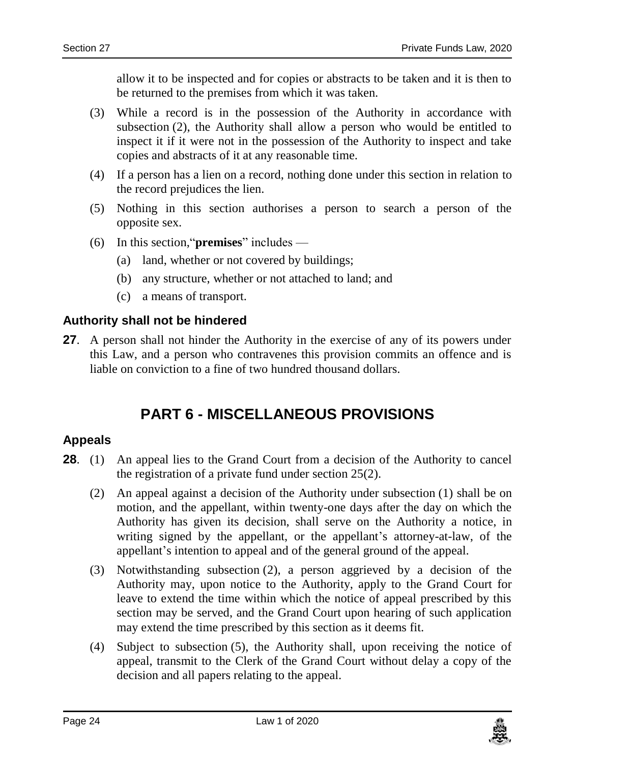allow it to be inspected and for copies or abstracts to be taken and it is then to be returned to the premises from which it was taken.

- (3) While a record is in the possession of the Authority in accordance with subsection (2), the Authority shall allow a person who would be entitled to inspect it if it were not in the possession of the Authority to inspect and take copies and abstracts of it at any reasonable time.
- (4) If a person has a lien on a record, nothing done under this section in relation to the record prejudices the lien.
- (5) Nothing in this section authorises a person to search a person of the opposite sex.
- (6) In this section,"**premises**" includes
	- (a) land, whether or not covered by buildings;
	- (b) any structure, whether or not attached to land; and
	- (c) a means of transport.

#### <span id="page-23-0"></span>**27. Authority shall not be hindered**

<span id="page-23-1"></span>**27**. A person shall not hinder the Authority in the exercise of any of its powers under this Law, and a person who contravenes this provision commits an offence and is liable on conviction to a fine of two hundred thousand dollars.

## **PART 6 - MISCELLANEOUS PROVISIONS**

#### <span id="page-23-2"></span>**28. Appeals**

- **28.** (1) An appeal lies to the Grand Court from a decision of the Authority to cancel the registration of a private fund under section 25(2).
	- (2) An appeal against a decision of the Authority under subsection (1) shall be on motion, and the appellant, within twenty-one days after the day on which the Authority has given its decision, shall serve on the Authority a notice, in writing signed by the appellant, or the appellant's attorney-at-law, of the appellant's intention to appeal and of the general ground of the appeal.
	- (3) Notwithstanding subsection (2), a person aggrieved by a decision of the Authority may, upon notice to the Authority, apply to the Grand Court for leave to extend the time within which the notice of appeal prescribed by this section may be served, and the Grand Court upon hearing of such application may extend the time prescribed by this section as it deems fit.
	- (4) Subject to subsection (5), the Authority shall, upon receiving the notice of appeal, transmit to the Clerk of the Grand Court without delay a copy of the decision and all papers relating to the appeal.

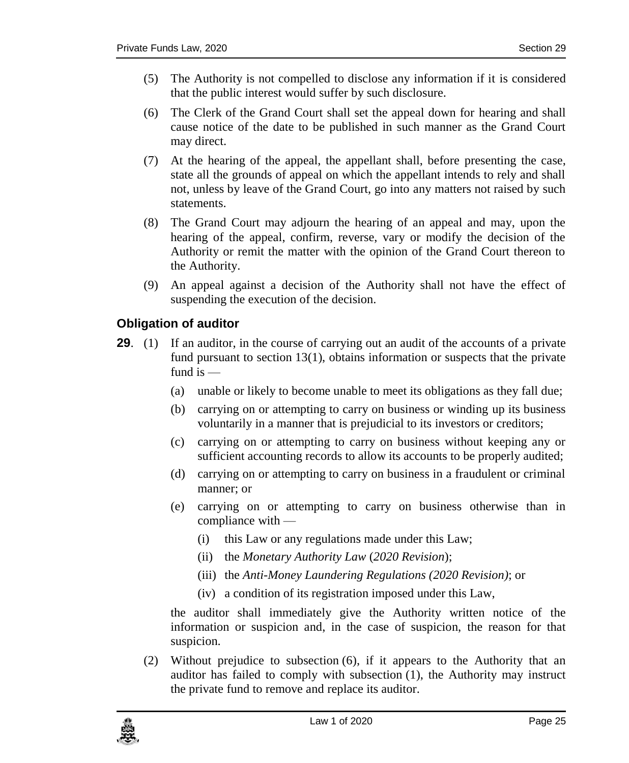- (5) The Authority is not compelled to disclose any information if it is considered that the public interest would suffer by such disclosure.
- (6) The Clerk of the Grand Court shall set the appeal down for hearing and shall cause notice of the date to be published in such manner as the Grand Court may direct.
- (7) At the hearing of the appeal, the appellant shall, before presenting the case, state all the grounds of appeal on which the appellant intends to rely and shall not, unless by leave of the Grand Court, go into any matters not raised by such statements.
- (8) The Grand Court may adjourn the hearing of an appeal and may, upon the hearing of the appeal, confirm, reverse, vary or modify the decision of the Authority or remit the matter with the opinion of the Grand Court thereon to the Authority.
- (9) An appeal against a decision of the Authority shall not have the effect of suspending the execution of the decision.

#### <span id="page-24-0"></span>**29. Obligation of auditor**

- **29.** (1) If an auditor, in the course of carrying out an audit of the accounts of a private fund pursuant to section  $13(1)$ , obtains information or suspects that the private fund is  $-$ 
	- (a) unable or likely to become unable to meet its obligations as they fall due;
	- (b) carrying on or attempting to carry on business or winding up its business voluntarily in a manner that is prejudicial to its investors or creditors;
	- (c) carrying on or attempting to carry on business without keeping any or sufficient accounting records to allow its accounts to be properly audited;
	- (d) carrying on or attempting to carry on business in a fraudulent or criminal manner; or
	- (e) carrying on or attempting to carry on business otherwise than in compliance with —
		- (i) this Law or any regulations made under this Law;
		- (ii) the *Monetary Authority Law* (*2020 Revision*);
		- (iii) the *Anti-Money Laundering Regulations (2020 Revision)*; or
		- (iv) a condition of its registration imposed under this Law,

the auditor shall immediately give the Authority written notice of the information or suspicion and, in the case of suspicion, the reason for that suspicion.

(2) Without prejudice to subsection (6), if it appears to the Authority that an auditor has failed to comply with subsection (1), the Authority may instruct the private fund to remove and replace its auditor.

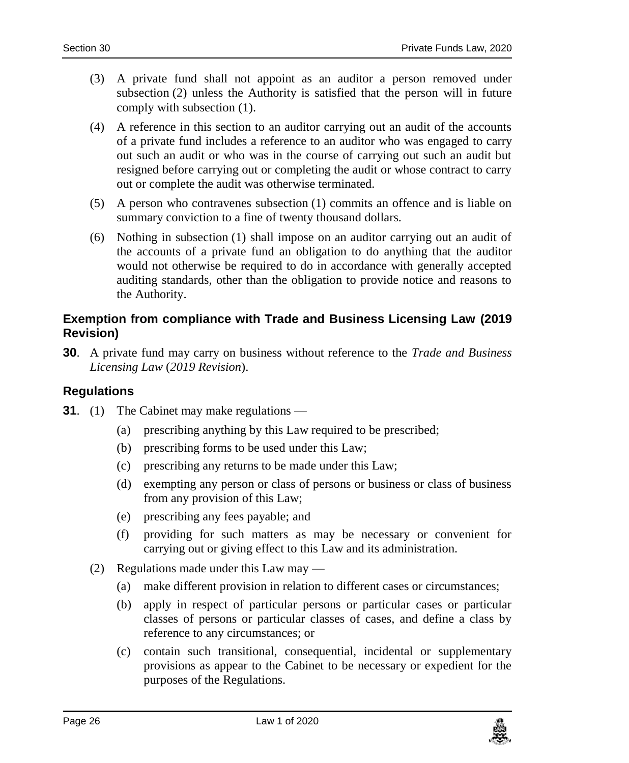- (3) A private fund shall not appoint as an auditor a person removed under subsection (2) unless the Authority is satisfied that the person will in future comply with subsection (1).
- (4) A reference in this section to an auditor carrying out an audit of the accounts of a private fund includes a reference to an auditor who was engaged to carry out such an audit or who was in the course of carrying out such an audit but resigned before carrying out or completing the audit or whose contract to carry out or complete the audit was otherwise terminated.
- (5) A person who contravenes subsection (1) commits an offence and is liable on summary conviction to a fine of twenty thousand dollars.
- (6) Nothing in subsection (1) shall impose on an auditor carrying out an audit of the accounts of a private fund an obligation to do anything that the auditor would not otherwise be required to do in accordance with generally accepted auditing standards, other than the obligation to provide notice and reasons to the Authority.

#### <span id="page-25-0"></span>**30. Exemption from compliance with Trade and Business Licensing Law (2019 Revision)**

**30**. A private fund may carry on business without reference to the *Trade and Business Licensing Law* (*2019 Revision*).

#### <span id="page-25-1"></span>**31 Regulations**

- **31.** (1) The Cabinet may make regulations
	- (a) prescribing anything by this Law required to be prescribed;
	- (b) prescribing forms to be used under this Law;
	- (c) prescribing any returns to be made under this Law;
	- (d) exempting any person or class of persons or business or class of business from any provision of this Law;
	- (e) prescribing any fees payable; and
	- (f) providing for such matters as may be necessary or convenient for carrying out or giving effect to this Law and its administration.
	- (2) Regulations made under this Law may
		- (a) make different provision in relation to different cases or circumstances;
		- (b) apply in respect of particular persons or particular cases or particular classes of persons or particular classes of cases, and define a class by reference to any circumstances; or
		- (c) contain such transitional, consequential, incidental or supplementary provisions as appear to the Cabinet to be necessary or expedient for the purposes of the Regulations.

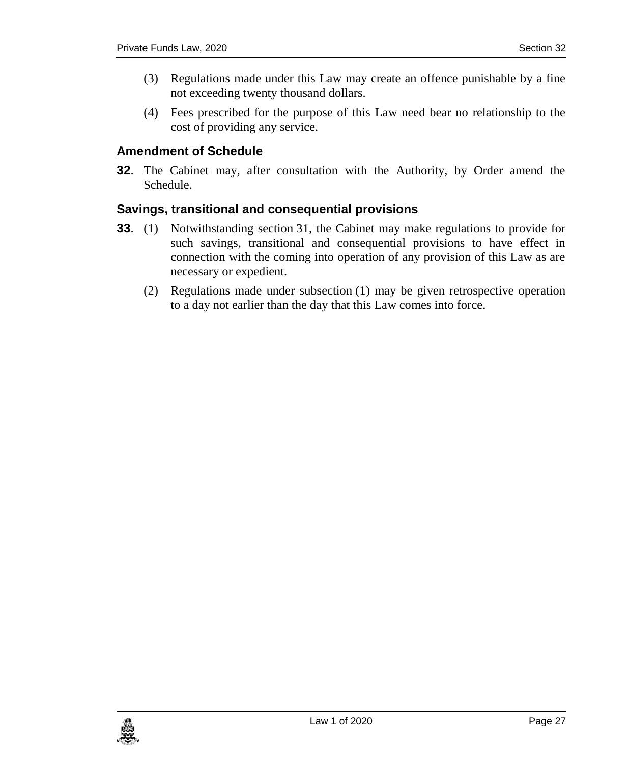- (3) Regulations made under this Law may create an offence punishable by a fine not exceeding twenty thousand dollars.
- (4) Fees prescribed for the purpose of this Law need bear no relationship to the cost of providing any service.

#### <span id="page-26-0"></span>**32. Amendment of Schedule**

**32**. The Cabinet may, after consultation with the Authority, by Order amend the Schedule.

#### <span id="page-26-1"></span>**33. Savings, transitional and consequential provisions**

- **33**. (1) Notwithstanding section 31, the Cabinet may make regulations to provide for such savings, transitional and consequential provisions to have effect in connection with the coming into operation of any provision of this Law as are necessary or expedient.
	- (2) Regulations made under subsection (1) may be given retrospective operation to a day not earlier than the day that this Law comes into force.

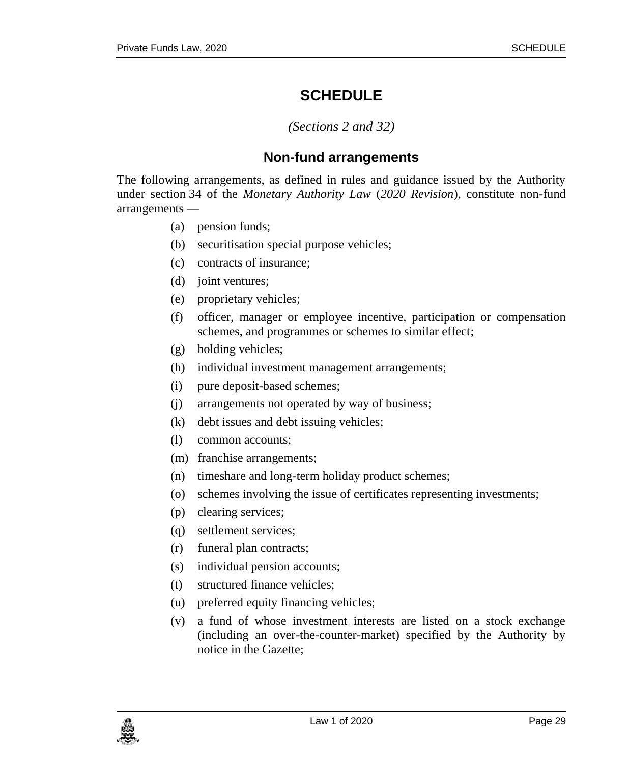## **SCHEDULE**

#### *(Sections 2 and 32)*

#### **Non-fund arrangements**

<span id="page-28-1"></span><span id="page-28-0"></span>The following arrangements, as defined in rules and guidance issued by the Authority under section 34 of the *Monetary Authority Law* (*2020 Revision*), constitute non-fund arrangements —

- (a) pension funds;
- (b) securitisation special purpose vehicles;
- (c) contracts of insurance;
- (d) joint ventures;
- (e) proprietary vehicles;
- (f) officer, manager or employee incentive, participation or compensation schemes, and programmes or schemes to similar effect;
- (g) holding vehicles;
- (h) individual investment management arrangements;
- (i) pure deposit-based schemes;
- (j) arrangements not operated by way of business;
- (k) debt issues and debt issuing vehicles;
- (l) common accounts;
- (m) franchise arrangements;
- (n) timeshare and long-term holiday product schemes;
- (o) schemes involving the issue of certificates representing investments;
- (p) clearing services;
- (q) settlement services;
- (r) funeral plan contracts;
- (s) individual pension accounts;
- (t) structured finance vehicles;
- (u) preferred equity financing vehicles;
- (v) a fund of whose investment interests are listed on a stock exchange (including an over-the-counter-market) specified by the Authority by notice in the Gazette;